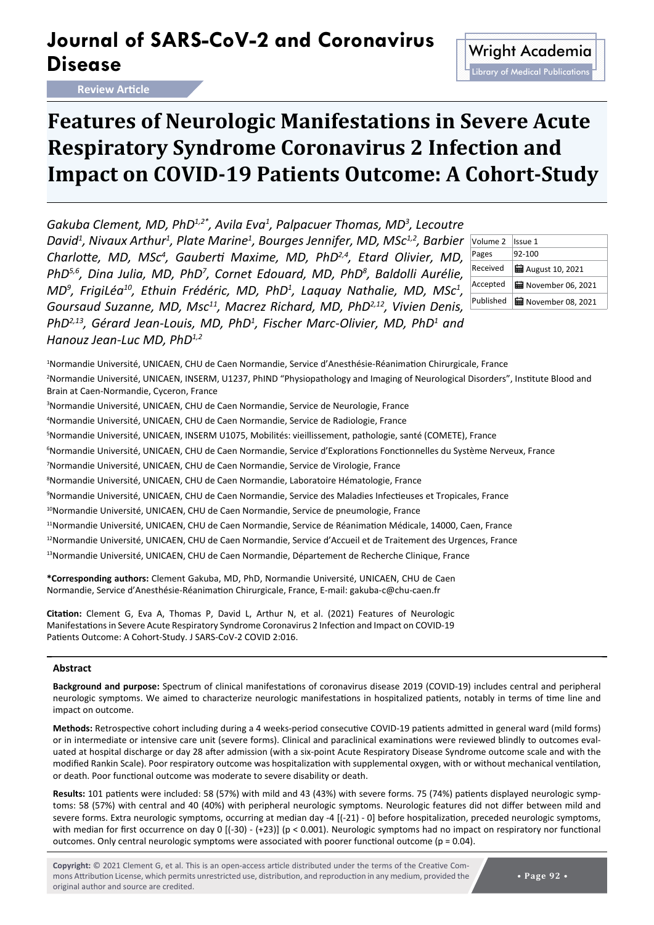# **Journal of SARS-CoV-2 and Coronavirus Disease** Manual Coloniavirus Wright Academia

**Review Article**

# **Features of Neurologic Manifestations in Severe Acute Respiratory Syndrome Coronavirus 2 Infection and Impact on COVID-19 Patients Outcome: A Cohort-Study**

Gakuba Clement, MD, PhD<sup>1,2\*</sup>, Avila Eva<sup>1</sup>, Palpacuer Thomas, MD<sup>3</sup>, Lecoutre David<sup>1</sup>, Nivaux Arthur<sup>1</sup>, Plate Marine<sup>1</sup>, Bourges Jennifer, MD, MSc<sup>1,2</sup>, Barbier *Charlotte, MD, MSc<sup>4</sup> , Gauberti Maxime, MD, PhD2,4, Etard Olivier, MD,*  PhD<sup>5,6</sup>, Dina Julia, MD, PhD<sup>7</sup>, Cornet Edouard, MD, PhD<sup>8</sup>, Baldolli Aurélie, MD<sup>9</sup>, FrigiLéa<sup>10</sup>, Ethuin Frédéric, MD, PhD<sup>1</sup>, Laquay Nathalie, MD, MSc<sup>1</sup>, *Goursaud Suzanne, MD, Msc11, Macrez Richard, MD, PhD2,12, Vivien Denis,*  PhD<sup>2,13</sup>, Gérard Jean-Louis, MD, PhD<sup>1</sup>, Fischer Marc-Olivier, MD, PhD<sup>1</sup> and *Hanouz Jean-Luc MD, PhD1,2*

| Volume 2  | Issue 1                    |
|-----------|----------------------------|
| Pages     | 92-100                     |
| Received  | <b>■</b> August 10, 2021   |
| Accepted  | <b>H</b> November 06, 2021 |
| Published | <b>H</b> November 08, 2021 |
|           |                            |

Library of Medical Publications

1 Normandie Université, UNICAEN, CHU de Caen Normandie, Service d'Anesthésie-Réanimation Chirurgicale, France 2 Normandie Université, UNICAEN, INSERM, U1237, PhIND "Physiopathology and Imaging of Neurological Disorders", Institute Blood and Brain at Caen-Normandie, Cyceron, France

3 Normandie Université, UNICAEN, CHU de Caen Normandie, Service de Neurologie, France

4 Normandie Université, UNICAEN, CHU de Caen Normandie, Service de Radiologie, France

5 Normandie Université, UNICAEN, INSERM U1075, Mobilités: vieillissement, pathologie, santé (COMETE), France

6 Normandie Université, UNICAEN, CHU de Caen Normandie, Service d'Explorations Fonctionnelles du Système Nerveux, France

7 Normandie Université, UNICAEN, CHU de Caen Normandie, Service de Virologie, France

<sup>8</sup>Normandie Université, UNICAEN, CHU de Caen Normandie, Laboratoire Hématologie, France

9 Normandie Université, UNICAEN, CHU de Caen Normandie, Service des Maladies Infectieuses et Tropicales, France

<sup>10</sup>Normandie Université, UNICAEN, CHU de Caen Normandie, Service de pneumologie, France

<sup>11</sup>Normandie Université, UNICAEN, CHU de Caen Normandie, Service de Réanimation Médicale, 14000, Caen, France

<sup>12</sup>Normandie Université, UNICAEN, CHU de Caen Normandie, Service d'Accueil et de Traitement des Urgences, France

13Normandie Université, UNICAEN, CHU de Caen Normandie, Département de Recherche Clinique, France

**\*Corresponding authors:** Clement Gakuba, MD, PhD, Normandie Université, UNICAEN, CHU de Caen Normandie, Service d'Anesthésie-Réanimation Chirurgicale, France, E-mail: gakuba-c@chu-caen.fr

**Citation:** Clement G, Eva A, Thomas P, David L, Arthur N, et al. (2021) Features of Neurologic Manifestations in Severe Acute Respiratory Syndrome Coronavirus 2 Infection and Impact on COVID-19 Patients Outcome: A Cohort-Study. J SARS-CoV-2 COVID 2:016.

#### **Abstract**

**Background and purpose:** Spectrum of clinical manifestations of coronavirus disease 2019 (COVID-19) includes central and peripheral neurologic symptoms. We aimed to characterize neurologic manifestations in hospitalized patients, notably in terms of time line and impact on outcome.

**Methods:** Retrospective cohort including during a 4 weeks-period consecutive COVID-19 patients admitted in general ward (mild forms) or in intermediate or intensive care unit (severe forms). Clinical and paraclinical examinations were reviewed blindly to outcomes evaluated at hospital discharge or day 28 after admission (with a six-point Acute Respiratory Disease Syndrome outcome scale and with the modified Rankin Scale). Poor respiratory outcome was hospitalization with supplemental oxygen, with or without mechanical ventilation, or death. Poor functional outcome was moderate to severe disability or death.

**Results:** 101 patients were included: 58 (57%) with mild and 43 (43%) with severe forms. 75 (74%) patients displayed neurologic symptoms: 58 (57%) with central and 40 (40%) with peripheral neurologic symptoms. Neurologic features did not differ between mild and severe forms. Extra neurologic symptoms, occurring at median day -4 [(-21) - 0] before hospitalization, preceded neurologic symptoms, with median for first occurrence on day 0 [(-30) - (+23)] (p < 0.001). Neurologic symptoms had no impact on respiratory nor functional outcomes. Only central neurologic symptoms were associated with poorer functional outcome (p = 0.04).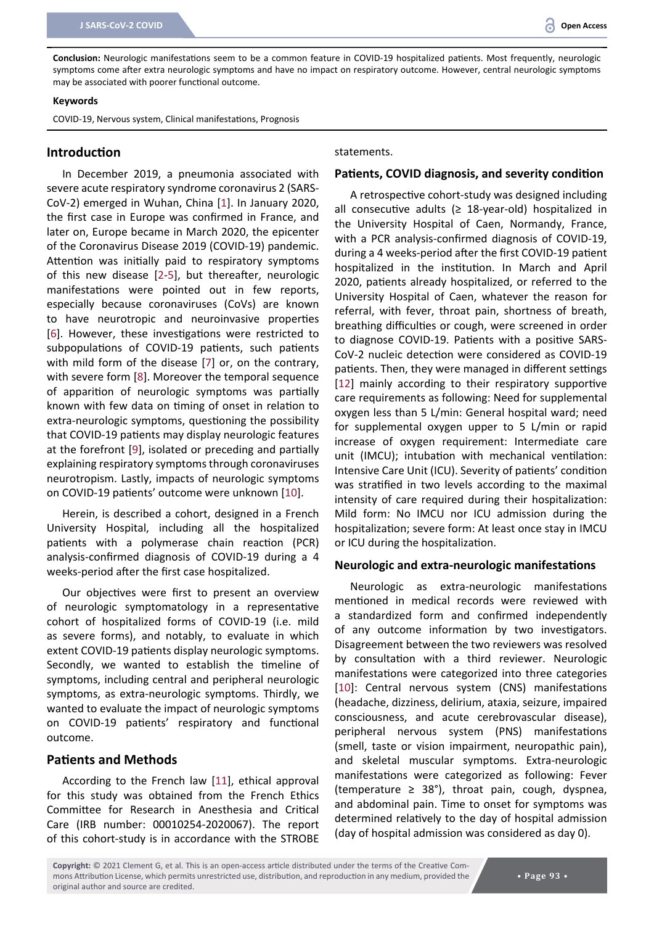**Conclusion:** Neurologic manifestations seem to be a common feature in COVID-19 hospitalized patients. Most frequently, neurologic symptoms come after extra neurologic symptoms and have no impact on respiratory outcome. However, central neurologic symptoms may be associated with poorer functional outcome.

#### **Keywords**

COVID-19, Nervous system, Clinical manifestations, Prognosis

### **Introduction**

In December 2019, a pneumonia associated with severe acute respiratory syndrome coronavirus 2 (SARS-CoV-2) emerged in Wuhan, China [[1](#page-7-2)]. In January 2020, the first case in Europe was confirmed in France, and later on, Europe became in March 2020, the epicenter of the Coronavirus Disease 2019 (COVID-19) pandemic. Attention was initially paid to respiratory symptoms of this new disease [[2](#page-7-3)-[5](#page-7-4)], but thereafter, neurologic manifestations were pointed out in few reports, especially because coronaviruses (CoVs) are known to have neurotropic and neuroinvasive properties [[6](#page-7-5)]. However, these investigations were restricted to subpopulations of COVID-19 patients, such patients with mild form of the disease [\[7\]](#page-7-6) or, on the contrary, with severe form [[8\]](#page-7-7). Moreover the temporal sequence of apparition of neurologic symptoms was partially known with few data on timing of onset in relation to extra-neurologic symptoms, questioning the possibility that COVID-19 patients may display neurologic features at the forefront [[9](#page-7-8)], isolated or preceding and partially explaining respiratory symptoms through coronaviruses neurotropism. Lastly, impacts of neurologic symptoms on COVID-19 patients' outcome were unknown [[10](#page-7-1)].

Herein, is described a cohort, designed in a French University Hospital, including all the hospitalized patients with a polymerase chain reaction (PCR) analysis-confirmed diagnosis of COVID-19 during a 4 weeks-period after the first case hospitalized.

Our objectives were first to present an overview of neurologic symptomatology in a representative cohort of hospitalized forms of COVID-19 (i.e. mild as severe forms), and notably, to evaluate in which extent COVID-19 patients display neurologic symptoms. Secondly, we wanted to establish the timeline of symptoms, including central and peripheral neurologic symptoms, as extra-neurologic symptoms. Thirdly, we wanted to evaluate the impact of neurologic symptoms on COVID-19 patients' respiratory and functional outcome.

# **Patients and Methods**

According to the French law [[11](#page-7-9)], ethical approval for this study was obtained from the French Ethics Committee for Research in Anesthesia and Critical Care (IRB number: 00010254-2020067). The report of this cohort-study is in accordance with the STROBE

#### statements.

#### **Patients, COVID diagnosis, and severity condition**

A retrospective cohort-study was designed including all consecutive adults ( $\geq$  18-year-old) hospitalized in the University Hospital of Caen, Normandy, France, with a PCR analysis-confirmed diagnosis of COVID-19, during a 4 weeks-period after the first COVID-19 patient hospitalized in the institution. In March and April 2020, patients already hospitalized, or referred to the University Hospital of Caen, whatever the reason for referral, with fever, throat pain, shortness of breath, breathing difficulties or cough, were screened in order to diagnose COVID-19. Patients with a positive SARS-CoV-2 nucleic detection were considered as COVID-19 patients. Then, they were managed in different settings [[12](#page-7-0)] mainly according to their respiratory supportive care requirements as following: Need for supplemental oxygen less than 5 L/min: General hospital ward; need for supplemental oxygen upper to 5 L/min or rapid increase of oxygen requirement: Intermediate care unit (IMCU); intubation with mechanical ventilation: Intensive Care Unit (ICU). Severity of patients' condition was stratified in two levels according to the maximal intensity of care required during their hospitalization: Mild form: No IMCU nor ICU admission during the hospitalization; severe form: At least once stay in IMCU or ICU during the hospitalization.

#### **Neurologic and extra-neurologic manifestations**

Neurologic as extra-neurologic manifestations mentioned in medical records were reviewed with a standardized form and confirmed independently of any outcome information by two investigators. Disagreement between the two reviewers was resolved by consultation with a third reviewer. Neurologic manifestations were categorized into three categories [[10](#page-7-1)]: Central nervous system (CNS) manifestations (headache, dizziness, delirium, ataxia, seizure, impaired consciousness, and acute cerebrovascular disease), peripheral nervous system (PNS) manifestations (smell, taste or vision impairment, neuropathic pain), and skeletal muscular symptoms. Extra-neurologic manifestations were categorized as following: Fever (temperature  $\geq 38^{\circ}$ ), throat pain, cough, dyspnea, and abdominal pain. Time to onset for symptoms was determined relatively to the day of hospital admission (day of hospital admission was considered as day 0).

**Copyright:** © 2021 Clement G, et al. This is an open-access article distributed under the terms of the Creative Commons Attribution License, which permits unrestricted use, distribution, and reproduction in any medium, provided the original author and source are credited.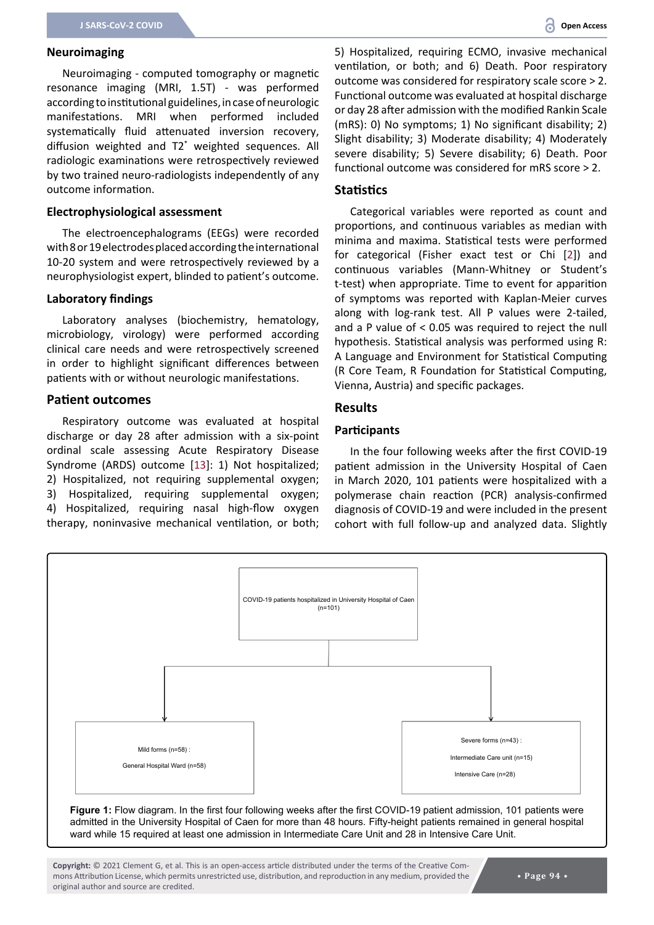#### **Neuroimaging**

Neuroimaging - computed tomography or magnetic resonance imaging (MRI, 1.5T) - was performed according to institutional guidelines, in case of neurologic manifestations. MRI when performed included systematically fluid attenuated inversion recovery, diffusion weighted and T2\* weighted sequences. All radiologic examinations were retrospectively reviewed by two trained neuro-radiologists independently of any outcome information.

#### **Electrophysiological assessment**

The electroencephalograms (EEGs) were recorded with 8 or 19 electrodes placed according the international 10-20 system and were retrospectively reviewed by a neurophysiologist expert, blinded to patient's outcome.

#### **Laboratory findings**

Laboratory analyses (biochemistry, hematology, microbiology, virology) were performed according clinical care needs and were retrospectively screened in order to highlight significant differences between patients with or without neurologic manifestations.

#### **Patient outcomes**

Respiratory outcome was evaluated at hospital discharge or day 28 after admission with a six-point ordinal scale assessing Acute Respiratory Disease Syndrome (ARDS) outcome [[13\]](#page-7-10): 1) Not hospitalized; 2) Hospitalized, not requiring supplemental oxygen; 3) Hospitalized, requiring supplemental oxygen; 4) Hospitalized, requiring nasal high-flow oxygen therapy, noninvasive mechanical ventilation, or both; 5) Hospitalized, requiring ECMO, invasive mechanical ventilation, or both; and 6) Death. Poor respiratory outcome was considered for respiratory scale score > 2. Functional outcome was evaluated at hospital discharge or day 28 after admission with the modified Rankin Scale (mRS): 0) No symptoms; 1) No significant disability; 2) Slight disability; 3) Moderate disability; 4) Moderately severe disability; 5) Severe disability; 6) Death. Poor functional outcome was considered for mRS score > 2.

#### **Statistics**

Categorical variables were reported as count and proportions, and continuous variables as median with minima and maxima. Statistical tests were performed for categorical (Fisher exact test or Chi [[2](#page-7-3)]) and continuous variables (Mann-Whitney or Student's t-test) when appropriate. Time to event for apparition of symptoms was reported with Kaplan-Meier curves along with log-rank test. All P values were 2-tailed, and a P value of < 0.05 was required to reject the null hypothesis. Statistical analysis was performed using R: A Language and Environment for Statistical Computing (R Core Team, R Foundation for Statistical Computing, Vienna, Austria) and specific packages.

# **Results**

#### **Participants**

In the four following weeks after the first COVID-19 patient admission in the University Hospital of Caen in March 2020, 101 patients were hospitalized with a polymerase chain reaction (PCR) analysis-confirmed diagnosis of COVID-19 and were included in the present cohort with full follow-up and analyzed data. Slightly

<span id="page-2-0"></span>

**Figure 1:** Flow diagram. In the first four following weeks after the first COVID-19 patient admission, 101 patients were admitted in the University Hospital of Caen for more than 48 hours. Fifty-height patients remained in general hospital ward while 15 required at least one admission in Intermediate Care Unit and 28 in Intensive Care Unit.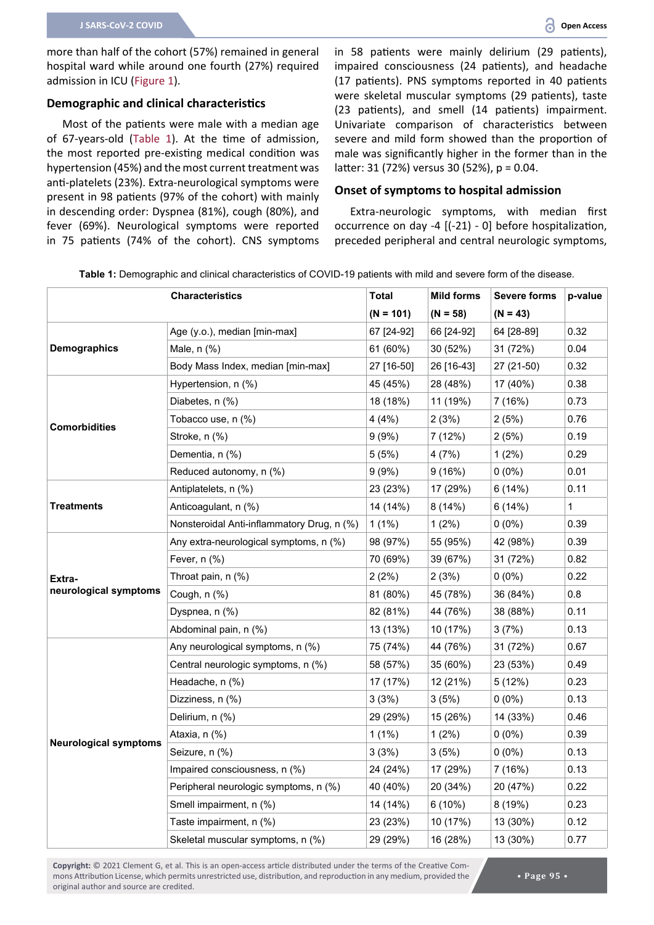more than half of the cohort (57%) remained in general hospital ward while around one fourth (27%) required admission in ICU [\(Figure 1](#page-2-0)).

# **Demographic and clinical characteristics**

Most of the patients were male with a median age of 67-years-old [\(Table 1](#page-3-0)). At the time of admission, the most reported pre-existing medical condition was hypertension (45%) and the most current treatment was anti-platelets (23%). Extra-neurological symptoms were present in 98 patients (97% of the cohort) with mainly in descending order: Dyspnea (81%), cough (80%), and fever (69%). Neurological symptoms were reported in 75 patients (74% of the cohort). CNS symptoms

in 58 patients were mainly delirium (29 patients), impaired consciousness (24 patients), and headache (17 patients). PNS symptoms reported in 40 patients were skeletal muscular symptoms (29 patients), taste (23 patients), and smell (14 patients) impairment. Univariate comparison of characteristics between severe and mild form showed than the proportion of male was significantly higher in the former than in the latter: 31 (72%) versus 30 (52%), p = 0.04.

#### **Onset of symptoms to hospital admission**

Extra-neurologic symptoms, with median first occurrence on day -4 [(-21) - 0] before hospitalization, preceded peripheral and central neurologic symptoms,

| ure in Domographic and olimoal original actoristics or OO viD-10 pationits with milla and sovere form or the diseas |                                            |             |                   |                     |         |  |  |
|---------------------------------------------------------------------------------------------------------------------|--------------------------------------------|-------------|-------------------|---------------------|---------|--|--|
| <b>Characteristics</b>                                                                                              |                                            | Total       | <b>Mild forms</b> | <b>Severe forms</b> | p-value |  |  |
|                                                                                                                     |                                            | $(N = 101)$ | $(N = 58)$        | $(N = 43)$          |         |  |  |
| <b>Demographics</b>                                                                                                 | Age (y.o.), median [min-max]               | 67 [24-92]  | 66 [24-92]        | 64 [28-89]          | 0.32    |  |  |
|                                                                                                                     | Male, n (%)                                | 61 (60%)    | 30 (52%)          | 31 (72%)            | 0.04    |  |  |
|                                                                                                                     | Body Mass Index, median [min-max]          | 27 [16-50]  | 26 [16-43]        | 27 (21-50)          | 0.32    |  |  |
| <b>Comorbidities</b>                                                                                                | Hypertension, n (%)                        | 45 (45%)    | 28 (48%)          | 17 (40%)            | 0.38    |  |  |
|                                                                                                                     | Diabetes, n (%)                            | 18 (18%)    | 11 (19%)          | 7(16%)              | 0.73    |  |  |
|                                                                                                                     | Tobacco use, n (%)                         | 4(4%)       | 2(3%)             | 2(5%)               | 0.76    |  |  |
|                                                                                                                     | Stroke, n (%)                              | 9(9%)       | 7 (12%)           | 2(5%)               | 0.19    |  |  |
|                                                                                                                     | Dementia, n (%)                            | 5(5%)       | 4(7%)             | $1(2\%)$            | 0.29    |  |  |
|                                                                                                                     | Reduced autonomy, n (%)                    | 9(9%)       | 9(16%)            | $0(0\%)$            | 0.01    |  |  |
| <b>Treatments</b>                                                                                                   | Antiplatelets, n (%)                       | 23 (23%)    | 17 (29%)          | 6(14%)              | 0.11    |  |  |
|                                                                                                                     | Anticoagulant, n (%)                       | 14 (14%)    | 8(14%)            | 6(14%)              | 1       |  |  |
|                                                                                                                     | Nonsteroidal Anti-inflammatory Drug, n (%) | $1(1\%)$    | $1(2\%)$          | $0(0\%)$            | 0.39    |  |  |
| Extra-<br>neurological symptoms                                                                                     | Any extra-neurological symptoms, n (%)     | 98 (97%)    | 55 (95%)          | 42 (98%)            | 0.39    |  |  |
|                                                                                                                     | Fever, $n$ (%)                             | 70 (69%)    | 39 (67%)          | 31 (72%)            | 0.82    |  |  |
|                                                                                                                     | Throat pain, n (%)                         | 2(2%)       | 2(3%)             | $0(0\%)$            | 0.22    |  |  |
|                                                                                                                     | Cough, n (%)                               | 81 (80%)    | 45 (78%)          | 36 (84%)            | 0.8     |  |  |
|                                                                                                                     | Dyspnea, n (%)                             | 82 (81%)    | 44 (76%)          | 38 (88%)            | 0.11    |  |  |
|                                                                                                                     | Abdominal pain, n (%)                      | 13 (13%)    | 10 (17%)          | 3(7%)               | 0.13    |  |  |
| <b>Neurological symptoms</b>                                                                                        | Any neurological symptoms, n (%)           | 75 (74%)    | 44 (76%)          | 31 (72%)            | 0.67    |  |  |
|                                                                                                                     | Central neurologic symptoms, n (%)         | 58 (57%)    | 35 (60%)          | 23 (53%)            | 0.49    |  |  |
|                                                                                                                     | Headache, n (%)                            | 17 (17%)    | 12 (21%)          | 5(12%)              | 0.23    |  |  |
|                                                                                                                     | Dizziness, n (%)                           | 3(3%)       | 3(5%)             | $0(0\%)$            | 0.13    |  |  |
|                                                                                                                     | Delirium, n (%)                            | 29 (29%)    | 15 (26%)          | 14 (33%)            | 0.46    |  |  |
|                                                                                                                     | Ataxia, n (%)                              | $1(1\%)$    | $1(2\%)$          | $0(0\%)$            | 0.39    |  |  |
|                                                                                                                     | Seizure, n (%)                             | 3(3%)       | 3(5%)             | $0(0\%)$            | 0.13    |  |  |
|                                                                                                                     | Impaired consciousness, n (%)              | 24 (24%)    | 17 (29%)          | 7 (16%)             | 0.13    |  |  |
|                                                                                                                     | Peripheral neurologic symptoms, n (%)      | 40 (40%)    | 20 (34%)          | 20 (47%)            | 0.22    |  |  |
|                                                                                                                     | Smell impairment, n (%)                    | 14 (14%)    | 6(10%)            | 8 (19%)             | 0.23    |  |  |
|                                                                                                                     | Taste impairment, n (%)                    | 23 (23%)    | 10 (17%)          | 13 (30%)            | 0.12    |  |  |
|                                                                                                                     | Skeletal muscular symptoms, n (%)          | 29 (29%)    | 16 (28%)          | 13 (30%)            | 0.77    |  |  |

<span id="page-3-0"></span>**Table 1:** Demographic and clinical characteristics of COVID-19 patients with mild and severe form of the disease.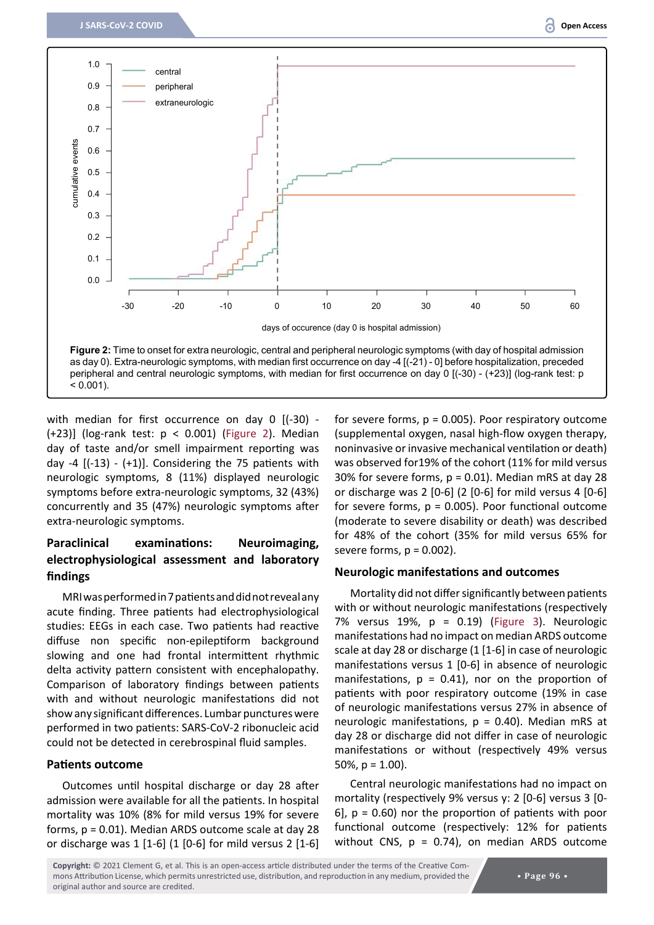<span id="page-4-0"></span>

with median for first occurrence on day 0 [(-30) -(+23)] (log-rank test: p < 0.001) ([Figure 2\)](#page-4-0). Median day of taste and/or smell impairment reporting was day -4  $[(-13) - (+1)]$ . Considering the 75 patients with neurologic symptoms, 8 (11%) displayed neurologic symptoms before extra-neurologic symptoms, 32 (43%) concurrently and 35 (47%) neurologic symptoms after extra-neurologic symptoms.

# **Paraclinical examinations: Neuroimaging, electrophysiological assessment and laboratory findings**

MRI was performed in 7 patients and did not reveal any acute finding. Three patients had electrophysiological studies: EEGs in each case. Two patients had reactive diffuse non specific non-epileptiform background slowing and one had frontal intermittent rhythmic delta activity pattern consistent with encephalopathy. Comparison of laboratory findings between patients with and without neurologic manifestations did not show any significant differences. Lumbar punctures were performed in two patients: SARS-CoV-2 ribonucleic acid could not be detected in cerebrospinal fluid samples.

#### **Patients outcome**

Outcomes until hospital discharge or day 28 after admission were available for all the patients. In hospital mortality was 10% (8% for mild versus 19% for severe forms, p = 0.01). Median ARDS outcome scale at day 28 or discharge was 1 [1-6] (1 [0-6] for mild versus 2 [1-6] for severe forms,  $p = 0.005$ ). Poor respiratory outcome (supplemental oxygen, nasal high-flow oxygen therapy, noninvasive or invasive mechanical ventilation or death) was observed for19% of the cohort (11% for mild versus  $30\%$  for severe forms,  $p = 0.01$ ). Median mRS at day 28 or discharge was 2 [0-6] (2 [0-6] for mild versus 4 [0-6] for severe forms,  $p = 0.005$ ). Poor functional outcome (moderate to severe disability or death) was described for 48% of the cohort (35% for mild versus 65% for severe forms,  $p = 0.002$ ).

#### **Neurologic manifestations and outcomes**

Mortality did not differ significantly between patients with or without neurologic manifestations (respectively 7% versus 19%,  $p = 0.19$  ([Figure 3\)](#page-5-0). Neurologic manifestations had no impact on median ARDS outcome scale at day 28 or discharge (1 [1-6] in case of neurologic manifestations versus 1 [0-6] in absence of neurologic manifestations,  $p = 0.41$ , nor on the proportion of patients with poor respiratory outcome (19% in case of neurologic manifestations versus 27% in absence of neurologic manifestations,  $p = 0.40$ ). Median mRS at day 28 or discharge did not differ in case of neurologic manifestations or without (respectively 49% versus 50%,  $p = 1.00$ ).

Central neurologic manifestations had no impact on mortality (respectively 9% versus y: 2 [0-6] versus 3 [0- 6],  $p = 0.60$  nor the proportion of patients with poor functional outcome (respectively: 12% for patients without CNS,  $p = 0.74$ ), on median ARDS outcome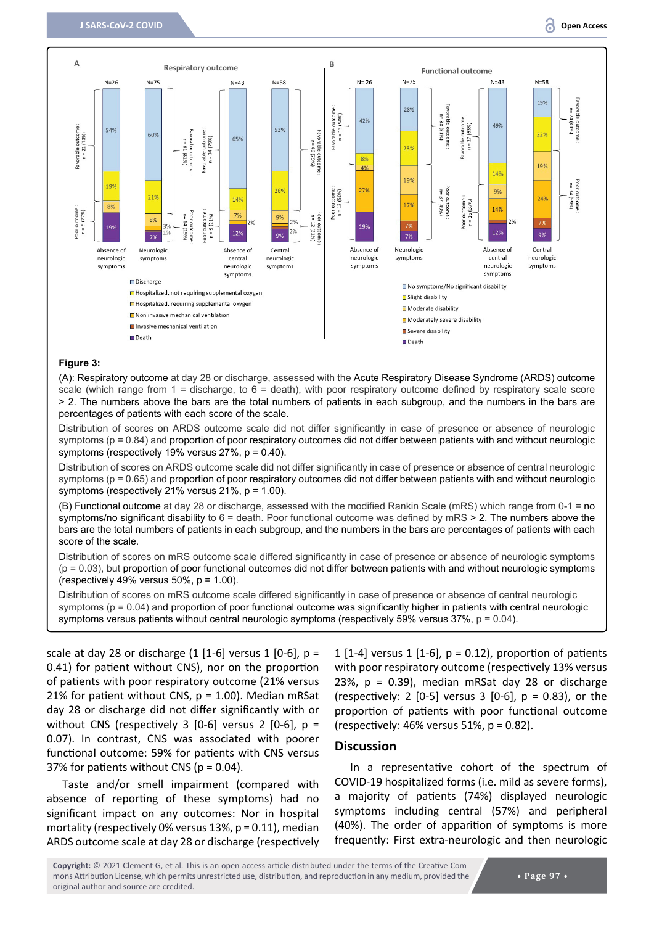<span id="page-5-0"></span>

#### **Figure 3:**

(A): Respiratory outcome at day 28 or discharge, assessed with the Acute Respiratory Disease Syndrome (ARDS) outcome scale (which range from  $1 =$  discharge, to  $6 =$  death), with poor respiratory outcome defined by respiratory scale score > 2. The numbers above the bars are the total numbers of patients in each subgroup, and the numbers in the bars are percentages of patients with each score of the scale.

Distribution of scores on ARDS outcome scale did not differ significantly in case of presence or absence of neurologic symptoms (p = 0.84) and proportion of poor respiratory outcomes did not differ between patients with and without neurologic symptoms (respectively 19% versus 27%, p = 0.40).

Distribution of scores on ARDS outcome scale did not differ significantly in case of presence or absence of central neurologic symptoms (p = 0.65) and proportion of poor respiratory outcomes did not differ between patients with and without neurologic symptoms (respectively 21% versus 21%, p = 1.00).

(B) Functional outcome at day 28 or discharge, assessed with the modified Rankin Scale (mRS) which range from 0-1 = no symptoms/no significant disability to  $6 =$  death. Poor functional outcome was defined by mRS  $>$  2. The numbers above the bars are the total numbers of patients in each subgroup, and the numbers in the bars are percentages of patients with each score of the scale.

Distribution of scores on mRS outcome scale differed significantly in case of presence or absence of neurologic symptoms  $(p = 0.03)$ , but proportion of poor functional outcomes did not differ between patients with and without neurologic symptoms (respectively 49% versus 50%,  $p = 1.00$ ).

Distribution of scores on mRS outcome scale differed significantly in case of presence or absence of central neurologic symptoms ( $p = 0.04$ ) and proportion of poor functional outcome was significantly higher in patients with central neurologic symptoms versus patients without central neurologic symptoms (respectively 59% versus  $37\%$ ,  $p = 0.04$ ).

scale at day 28 or discharge  $(1 [1-6]$  versus  $1 [0-6]$ ,  $p =$ 0.41) for patient without CNS), nor on the proportion of patients with poor respiratory outcome (21% versus 21% for patient without CNS,  $p = 1.00$ ). Median mRSat day 28 or discharge did not differ significantly with or without CNS (respectively 3 [0-6] versus 2 [0-6],  $p =$ 0.07). In contrast, CNS was associated with poorer functional outcome: 59% for patients with CNS versus 37% for patients without CNS ( $p = 0.04$ ).

Taste and/or smell impairment (compared with absence of reporting of these symptoms) had no significant impact on any outcomes: Nor in hospital mortality (respectively 0% versus 13%, p = 0.11), median ARDS outcome scale at day 28 or discharge (respectively

1  $[1-4]$  versus 1  $[1-6]$ ,  $p = 0.12$ ), proportion of patients with poor respiratory outcome (respectively 13% versus 23%, p = 0.39), median mRSat day 28 or discharge (respectively: 2  $[0-5]$  versus 3  $[0-6]$ ,  $p = 0.83$ ), or the proportion of patients with poor functional outcome (respectively: 46% versus 51%,  $p = 0.82$ ).

#### **Discussion**

In a representative cohort of the spectrum of COVID-19 hospitalized forms (i.e. mild as severe forms), a majority of patients (74%) displayed neurologic symptoms including central (57%) and peripheral (40%). The order of apparition of symptoms is more frequently: First extra-neurologic and then neurologic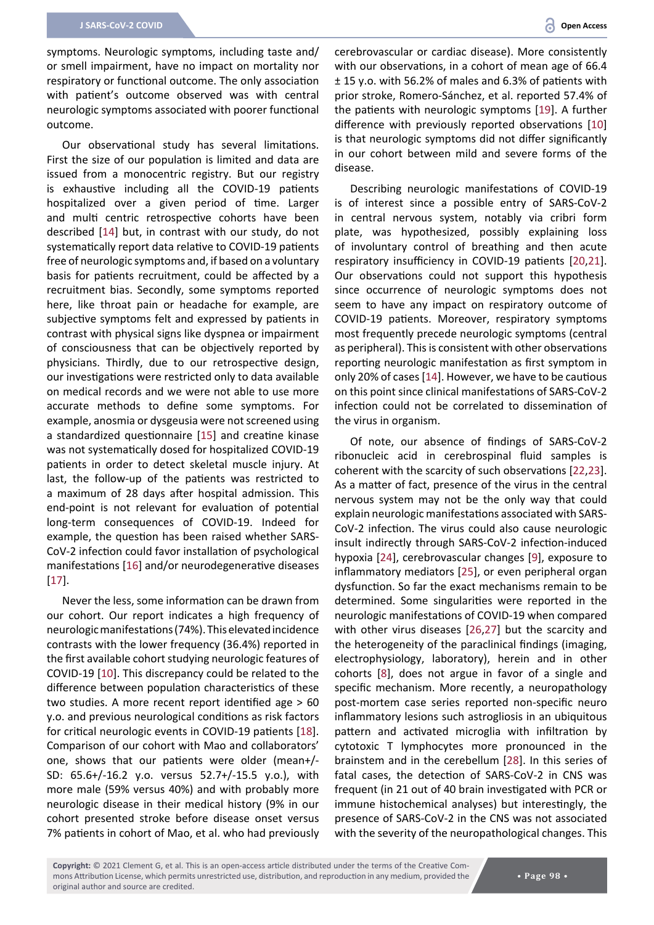symptoms. Neurologic symptoms, including taste and/ or smell impairment, have no impact on mortality nor respiratory or functional outcome. The only association with patient's outcome observed was with central neurologic symptoms associated with poorer functional outcome.

Our observational study has several limitations. First the size of our population is limited and data are issued from a monocentric registry. But our registry is exhaustive including all the COVID-19 patients hospitalized over a given period of time. Larger and multi centric retrospective cohorts have been described [[14](#page-7-14)] but, in contrast with our study, do not systematically report data relative to COVID-19 patients free of neurologic symptoms and, if based on a voluntary basis for patients recruitment, could be affected by a recruitment bias. Secondly, some symptoms reported here, like throat pain or headache for example, are subjective symptoms felt and expressed by patients in contrast with physical signs like dyspnea or impairment of consciousness that can be objectively reported by physicians. Thirdly, due to our retrospective design, our investigations were restricted only to data available on medical records and we were not able to use more accurate methods to define some symptoms. For example, anosmia or dysgeusia were not screened using a standardized questionnaire [[15](#page-7-18)] and creatine kinase was not systematically dosed for hospitalized COVID-19 patients in order to detect skeletal muscle injury. At last, the follow-up of the patients was restricted to a maximum of 28 days after hospital admission. This end-point is not relevant for evaluation of potential long-term consequences of COVID-19. Indeed for example, the question has been raised whether SARS-CoV-2 infection could favor installation of psychological manifestations [[16](#page-7-19)] and/or neurodegenerative diseases [[17](#page-7-20)].

Never the less, some information can be drawn from our cohort. Our report indicates a high frequency of neurologic manifestations (74%). This elevated incidence contrasts with the lower frequency (36.4%) reported in the first available cohort studying neurologic features of COVID-19 [[10](#page-7-1)]. This discrepancy could be related to the difference between population characteristics of these two studies. A more recent report identified age > 60 y.o. and previous neurological conditions as risk factors for critical neurologic events in COVID-19 patients [\[18](#page-7-21)]. Comparison of our cohort with Mao and collaborators' one, shows that our patients were older (mean+/- SD: 65.6+/-16.2 y.o. versus 52.7+/-15.5 y.o.), with more male (59% versus 40%) and with probably more neurologic disease in their medical history (9% in our cohort presented stroke before disease onset versus 7% patients in cohort of Mao, et al. who had previously

cerebrovascular or cardiac disease). More consistently with our observations, in a cohort of mean age of 66.4 ± 15 y.o. with 56.2% of males and 6.3% of patients with prior stroke, Romero-Sánchez, et al. reported 57.4% of the patients with neurologic symptoms [[19](#page-7-11)]. A further difference with previously reported observations [[10](#page-7-1)] is that neurologic symptoms did not differ significantly in our cohort between mild and severe forms of the disease.

Describing neurologic manifestations of COVID-19 is of interest since a possible entry of SARS-CoV-2 in central nervous system, notably via cribri form plate, was hypothesized, possibly explaining loss of involuntary control of breathing and then acute respiratory insufficiency in COVID-19 patients [[20](#page-7-12)[,21](#page-7-13)]. Our observations could not support this hypothesis since occurrence of neurologic symptoms does not seem to have any impact on respiratory outcome of COVID-19 patients. Moreover, respiratory symptoms most frequently precede neurologic symptoms (central as peripheral). This is consistent with other observations reporting neurologic manifestation as first symptom in only 20% of cases [[14](#page-7-14)]. However, we have to be cautious on this point since clinical manifestations of SARS-CoV-2 infection could not be correlated to dissemination of the virus in organism.

Of note, our absence of findings of SARS-CoV-2 ribonucleic acid in cerebrospinal fluid samples is coherent with the scarcity of such observations [[22,](#page-7-15)[23\]](#page-7-16). As a matter of fact, presence of the virus in the central nervous system may not be the only way that could explain neurologic manifestations associated with SARS-CoV-2 infection. The virus could also cause neurologic insult indirectly through SARS-CoV-2 infection-induced hypoxia [[24](#page-7-17)], cerebrovascular changes [[9](#page-7-8)], exposure to inflammatory mediators [[25](#page-8-0)], or even peripheral organ dysfunction. So far the exact mechanisms remain to be determined. Some singularities were reported in the neurologic manifestations of COVID-19 when compared with other virus diseases [\[26](#page-8-1),[27](#page-8-2)] but the scarcity and the heterogeneity of the paraclinical findings (imaging, electrophysiology, laboratory), herein and in other cohorts [[8](#page-7-7)], does not argue in favor of a single and specific mechanism. More recently, a neuropathology post-mortem case series reported non-specific neuro inflammatory lesions such astrogliosis in an ubiquitous pattern and activated microglia with infiltration by cytotoxic T lymphocytes more pronounced in the brainstem and in the cerebellum [\[28\]](#page-8-3). In this series of fatal cases, the detection of SARS-CoV-2 in CNS was frequent (in 21 out of 40 brain investigated with PCR or immune histochemical analyses) but interestingly, the presence of SARS-CoV-2 in the CNS was not associated with the severity of the neuropathological changes. This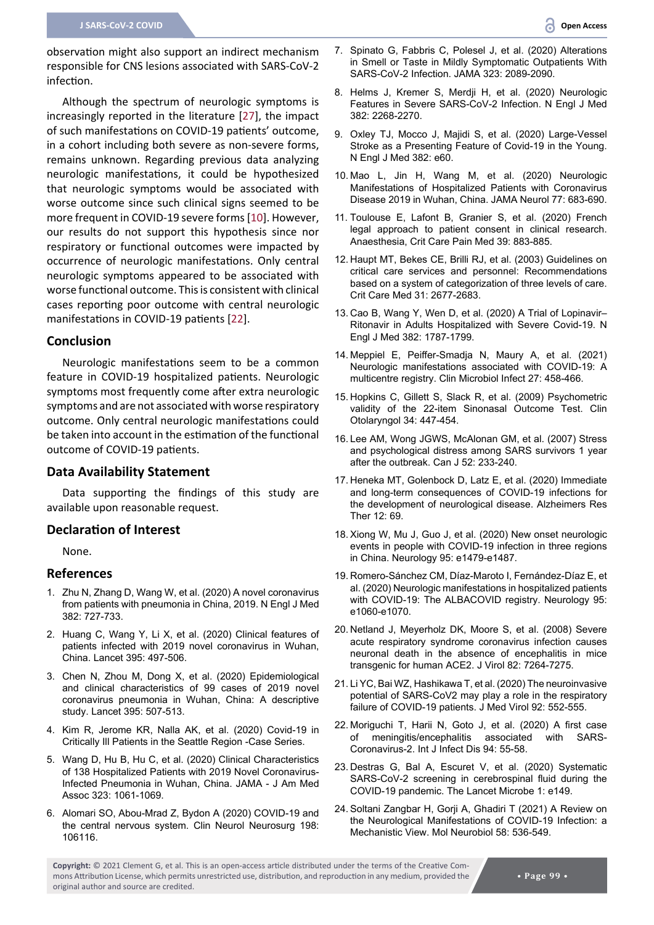observation might also support an indirect mechanism responsible for CNS lesions associated with SARS-CoV-2 infection.

Although the spectrum of neurologic symptoms is increasingly reported in the literature [[27\]](#page-8-2), the impact of such manifestations on COVID-19 patients' outcome, in a cohort including both severe as non-severe forms, remains unknown. Regarding previous data analyzing neurologic manifestations, it could be hypothesized that neurologic symptoms would be associated with worse outcome since such clinical signs seemed to be more frequent in COVID-19 severe forms [[10](#page-7-1)]. However, our results do not support this hypothesis since nor respiratory or functional outcomes were impacted by occurrence of neurologic manifestations. Only central neurologic symptoms appeared to be associated with worse functional outcome. This is consistent with clinical cases reporting poor outcome with central neurologic manifestations in COVID-19 patients [[22](#page-7-15)].

### **Conclusion**

Neurologic manifestations seem to be a common feature in COVID-19 hospitalized patients. Neurologic symptoms most frequently come after extra neurologic symptoms and are not associated with worse respiratory outcome. Only central neurologic manifestations could be taken into account in the estimation of the functional outcome of COVID-19 patients.

# **Data Availability Statement**

Data supporting the findings of this study are available upon reasonable request.

# **Declaration of Interest**

None.

#### **References**

- <span id="page-7-2"></span>1. [Zhu N, Zhang D, Wang W, et al. \(2020\) A novel coronavirus](https://pubmed.ncbi.nlm.nih.gov/31978945/)  [from patients with pneumonia in China, 2019. N Engl J Med](https://pubmed.ncbi.nlm.nih.gov/31978945/)  [382: 727-733.](https://pubmed.ncbi.nlm.nih.gov/31978945/)
- <span id="page-7-3"></span>2. [Huang C, Wang Y, Li X, et al. \(2020\) Clinical features of](https://pubmed.ncbi.nlm.nih.gov/31986264/)  [patients infected with 2019 novel coronavirus in Wuhan,](https://pubmed.ncbi.nlm.nih.gov/31986264/)  [China. Lancet 395: 497-506.](https://pubmed.ncbi.nlm.nih.gov/31986264/)
- 3. [Chen N, Zhou M, Dong X, et al. \(2020\) Epidemiological](https://pubmed.ncbi.nlm.nih.gov/32007143/)  [and clinical characteristics of 99 cases of 2019 novel](https://pubmed.ncbi.nlm.nih.gov/32007143/)  [coronavirus pneumonia in Wuhan, China: A descriptive](https://pubmed.ncbi.nlm.nih.gov/32007143/)  [study. Lancet 395: 507-513.](https://pubmed.ncbi.nlm.nih.gov/32007143/)
- 4. Kim R, Jerome KR, Nalla AK, et al. (2020) Covid-19 in Critically Ill Patients in the Seattle Region -Case Series.
- <span id="page-7-4"></span>5. [Wang D, Hu B, Hu C, et al. \(2020\) Clinical Characteristics](https://pubmed.ncbi.nlm.nih.gov/32031570/)  [of 138 Hospitalized Patients with 2019 Novel Coronavirus-](https://pubmed.ncbi.nlm.nih.gov/32031570/)[Infected Pneumonia in Wuhan, China. JAMA - J Am Med](https://pubmed.ncbi.nlm.nih.gov/32031570/)  [Assoc 323: 1061-1069.](https://pubmed.ncbi.nlm.nih.gov/32031570/)
- <span id="page-7-5"></span>6. [Alomari SO, Abou-Mrad Z, Bydon A \(2020\) COVID-19 and](https://www.ncbi.nlm.nih.gov/pmc/articles/PMC7402113/)  the central nervous system. Clin Neurol Neurosurg 198: [106116.](https://www.ncbi.nlm.nih.gov/pmc/articles/PMC7402113/)
- <span id="page-7-6"></span>7. [Spinato G, Fabbris C, Polesel J, et al. \(2020\) Alterations](https://jamanetwork.com/journals/jama/fullarticle/2765183)  [in Smell or Taste in Mildly Symptomatic Outpatients With](https://jamanetwork.com/journals/jama/fullarticle/2765183)  [SARS-CoV-2 Infection. JAMA 323: 2089-2090.](https://jamanetwork.com/journals/jama/fullarticle/2765183)
- <span id="page-7-7"></span>8. [Helms J, Kremer S, Merdji H, et al. \(2020\) Neurologic](https://pubmed.ncbi.nlm.nih.gov/32294339/)  [Features in Severe SARS-CoV-2 Infection. N Engl J Med](https://pubmed.ncbi.nlm.nih.gov/32294339/)  [382: 2268-2270.](https://pubmed.ncbi.nlm.nih.gov/32294339/)
- <span id="page-7-8"></span>9. [Oxley TJ, Mocco J, Majidi S, et al. \(2020\) Large-Vessel](https://pubmed.ncbi.nlm.nih.gov/32343504/)  [Stroke as a Presenting Feature of Covid-19 in the Young.](https://pubmed.ncbi.nlm.nih.gov/32343504/)  [N Engl J Med 382: e60.](https://pubmed.ncbi.nlm.nih.gov/32343504/)
- <span id="page-7-1"></span>10. [Mao L, Jin H, Wang M, et al. \(2020\) Neurologic](https://pubmed.ncbi.nlm.nih.gov/32275288/)  [Manifestations of Hospitalized Patients with Coronavirus](https://pubmed.ncbi.nlm.nih.gov/32275288/)  [Disease 2019 in Wuhan, China. JAMA Neurol 77: 683-690.](https://pubmed.ncbi.nlm.nih.gov/32275288/)
- <span id="page-7-9"></span>11. [Toulouse E, Lafont B, Granier S, et al. \(2020\) French](https://pubmed.ncbi.nlm.nih.gov/33130015/)  [legal approach to patient consent in clinical research.](https://pubmed.ncbi.nlm.nih.gov/33130015/)  [Anaesthesia, Crit Care Pain Med 39: 883-885.](https://pubmed.ncbi.nlm.nih.gov/33130015/)
- <span id="page-7-0"></span>12. [Haupt MT, Bekes CE, Brilli RJ, et al. \(2003\) Guidelines on](https://pubmed.ncbi.nlm.nih.gov/14605541/)  [critical care services and personnel: Recommendations](https://pubmed.ncbi.nlm.nih.gov/14605541/)  [based on a system of categorization of three levels of care.](https://pubmed.ncbi.nlm.nih.gov/14605541/)  [Crit Care Med 31: 2677-2683.](https://pubmed.ncbi.nlm.nih.gov/14605541/)
- <span id="page-7-10"></span>13. [Cao B, Wang Y, Wen D, et al. \(2020\) A Trial of Lopinavir–](https://pubmed.ncbi.nlm.nih.gov/32187464/) [Ritonavir in Adults Hospitalized with Severe Covid-19. N](https://pubmed.ncbi.nlm.nih.gov/32187464/)  [Engl J Med 382: 1787-1799.](https://pubmed.ncbi.nlm.nih.gov/32187464/)
- <span id="page-7-14"></span>14. [Meppiel E, Peiffer-Smadja N, Maury A, et al. \(2021\)](https://www.sciencedirect.com/science/article/pii/S1198743X20306984)  [Neurologic manifestations associated with COVID-19: A](https://www.sciencedirect.com/science/article/pii/S1198743X20306984)  [multicentre registry. Clin Microbiol Infect 27: 458-466.](https://www.sciencedirect.com/science/article/pii/S1198743X20306984)
- <span id="page-7-18"></span>15. [Hopkins C, Gillett S, Slack R, et al. \(2009\) Psychometric](https://pubmed.ncbi.nlm.nih.gov/19793277/)  [validity of the 22-item Sinonasal Outcome Test. Clin](https://pubmed.ncbi.nlm.nih.gov/19793277/)  [Otolaryngol 34: 447-454.](https://pubmed.ncbi.nlm.nih.gov/19793277/)
- <span id="page-7-19"></span>16. [Lee AM, Wong JGWS, McAlonan GM, et al. \(2007\) Stress](https://pubmed.ncbi.nlm.nih.gov/17500304/)  [and psychological distress among SARS survivors 1 year](https://pubmed.ncbi.nlm.nih.gov/17500304/)  [after the outbreak. Can J 52: 233-240.](https://pubmed.ncbi.nlm.nih.gov/17500304/)
- <span id="page-7-20"></span>17. [Heneka MT, Golenbock D, Latz E, et al. \(2020\) Immediate](https://alzres.biomedcentral.com/articles/10.1186/s13195-020-00640-3)  [and long-term consequences of COVID-19 infections for](https://alzres.biomedcentral.com/articles/10.1186/s13195-020-00640-3)  [the development of neurological disease. Alzheimers Res](https://alzres.biomedcentral.com/articles/10.1186/s13195-020-00640-3)  [Ther 12: 69.](https://alzres.biomedcentral.com/articles/10.1186/s13195-020-00640-3)
- <span id="page-7-21"></span>18. [Xiong W, Mu J, Guo J, et al. \(2020\) New onset neurologic](https://pubmed.ncbi.nlm.nih.gov/32554771/)  [events in people with COVID-19 infection in three regions](https://pubmed.ncbi.nlm.nih.gov/32554771/)  [in China. Neurology 95: e1479-e1487.](https://pubmed.ncbi.nlm.nih.gov/32554771/)
- <span id="page-7-11"></span>19. [Romero-Sánchez CM, Díaz-Maroto I, Fernández-Díaz E, et](https://pubmed.ncbi.nlm.nih.gov/32482845/)  [al. \(2020\) Neurologic manifestations in hospitalized patients](https://pubmed.ncbi.nlm.nih.gov/32482845/)  [with COVID-19: The ALBACOVID registry. Neurology 95:](https://pubmed.ncbi.nlm.nih.gov/32482845/)  [e1060-e1070.](https://pubmed.ncbi.nlm.nih.gov/32482845/)
- <span id="page-7-12"></span>20. [Netland J, Meyerholz DK, Moore S, et al. \(2008\) Severe](https://pubmed.ncbi.nlm.nih.gov/18495771/)  [acute respiratory syndrome coronavirus infection causes](https://pubmed.ncbi.nlm.nih.gov/18495771/)  [neuronal death in the absence of encephalitis in mice](https://pubmed.ncbi.nlm.nih.gov/18495771/)  [transgenic for human ACE2. J Virol 82: 7264-7275.](https://pubmed.ncbi.nlm.nih.gov/18495771/)
- <span id="page-7-13"></span>21. [Li YC, Bai WZ, Hashikawa T, et al. \(2020\) The neuroinvasive](https://pubmed.ncbi.nlm.nih.gov/32104915/)  [potential of SARS-CoV2 may play a role in the respiratory](https://pubmed.ncbi.nlm.nih.gov/32104915/)  [failure of COVID-19 patients. J Med Virol 92: 552-555.](https://pubmed.ncbi.nlm.nih.gov/32104915/)
- <span id="page-7-15"></span>22. [Moriguchi T, Harii N, Goto J, et al. \(2020\) A first case](https://pubmed.ncbi.nlm.nih.gov/32251791/)  [of meningitis/encephalitis associated with SARS-](https://pubmed.ncbi.nlm.nih.gov/32251791/)[Coronavirus-2. Int J Infect Dis 94: 55-58.](https://pubmed.ncbi.nlm.nih.gov/32251791/)
- <span id="page-7-16"></span>23. [Destras G, Bal A, Escuret V, et al. \(2020\) Systematic](https://www.ncbi.nlm.nih.gov/pmc/articles/PMC7289579/)  [SARS-CoV-2 screening in cerebrospinal fluid during the](https://www.ncbi.nlm.nih.gov/pmc/articles/PMC7289579/)  [COVID-19 pandemic. The Lancet Microbe 1: e149.](https://www.ncbi.nlm.nih.gov/pmc/articles/PMC7289579/)
- <span id="page-7-17"></span>24. [Soltani Zangbar H, Gorji A, Ghadiri T \(2021\) A Review on](https://link.springer.com/article/10.1007/s12035-020-02149-0)  [the Neurological Manifestations of COVID-19 Infection: a](https://link.springer.com/article/10.1007/s12035-020-02149-0)  [Mechanistic View. Mol Neurobiol 58: 536-549.](https://link.springer.com/article/10.1007/s12035-020-02149-0)